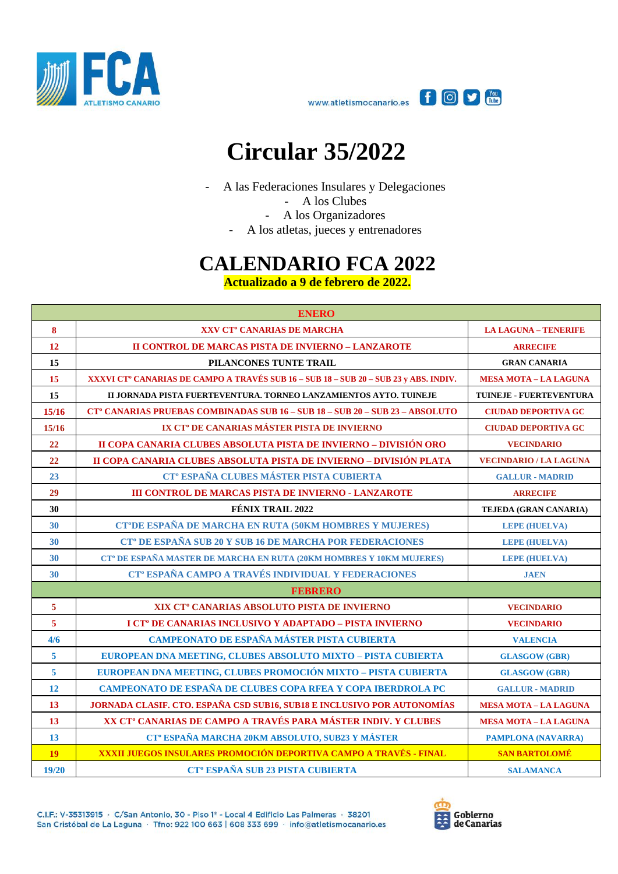



## **Circular 35/2022**

- A las Federaciones Insulares y Delegaciones

- A los Clubes
- A los Organizadores
- A los atletas, jueces y entrenadores

## **CALENDARIO FCA 2022**

**Actualizado a 9 de febrero de 2022.**

| <b>ENERO</b>            |                                                                                                  |                               |  |
|-------------------------|--------------------------------------------------------------------------------------------------|-------------------------------|--|
| $\bf{8}$                | XXV CT <sup>o</sup> CANARIAS DE MARCHA                                                           | <b>LA LAGUNA - TENERIFE</b>   |  |
| 12                      | <b>II CONTROL DE MARCAS PISTA DE INVIERNO - LANZAROTE</b>                                        | <b>ARRECIFE</b>               |  |
| 15                      | PILANCONES TUNTE TRAIL                                                                           | <b>GRAN CANARIA</b>           |  |
| 15                      | XXXVI CT <sup>°</sup> CANARIAS DE CAMPO A TRAVÉS SUB 16 – SUB 18 – SUB 20 – SUB 23 y ABS. INDIV. | <b>MESA MOTA - LA LAGUNA</b>  |  |
| 15                      | II JORNADA PISTA FUERTEVENTURA. TORNEO LANZAMIENTOS AYTO. TUINEJE                                | TUINEJE - FUERTEVENTURA       |  |
| 15/16                   | CT° CANARIAS PRUEBAS COMBINADAS SUB 16 – SUB 18 – SUB 20 – SUB 23 – ABSOLUTO                     | <b>CIUDAD DEPORTIVA GC</b>    |  |
| 15/16                   | IX CT <sup>°</sup> DE CANARIAS MÁSTER PISTA DE INVIERNO                                          | <b>CIUDAD DEPORTIVA GC</b>    |  |
| 22                      | II COPA CANARIA CLUBES ABSOLUTA PISTA DE INVIERNO – DIVISIÓN ORO                                 | <b>VECINDARIO</b>             |  |
| 22                      | II COPA CANARIA CLUBES ABSOLUTA PISTA DE INVIERNO - DIVISIÓN PLATA                               | <b>VECINDARIO / LA LAGUNA</b> |  |
| 23                      | CT <sup>°</sup> ESPAÑA CLUBES MÁSTER PISTA CUBIERTA                                              | <b>GALLUR - MADRID</b>        |  |
| 29                      | <b>III CONTROL DE MARCAS PISTA DE INVIERNO - LANZAROTE</b>                                       | <b>ARRECIFE</b>               |  |
| 30                      | FÉNIX TRAIL 2022                                                                                 | TEJEDA (GRAN CANARIA)         |  |
| 30                      | CT°DE ESPAÑA DE MARCHA EN RUTA (50KM HOMBRES Y MUJERES)                                          | <b>LEPE (HUELVA)</b>          |  |
| 30                      | <b>CT<sup>°</sup> DE ESPAÑA SUB 20 Y SUB 16 DE MARCHA POR FEDERACIONES</b>                       | <b>LEPE (HUELVA)</b>          |  |
| 30                      | CT <sup>°</sup> DE ESPAÑA MASTER DE MARCHA EN RUTA (20KM HOMBRES Y 10KM MUJERES)                 | <b>LEPE (HUELVA)</b>          |  |
| 30                      | CT <sup>°</sup> ESPAÑA CAMPO A TRAVÉS INDIVIDUAL Y FEDERACIONES                                  | <b>JAEN</b>                   |  |
|                         | <b>FEBRERO</b>                                                                                   |                               |  |
| $\overline{5}$          | XIX CT <sup>°</sup> CANARIAS ABSOLUTO PISTA DE INVIERNO                                          | <b>VECINDARIO</b>             |  |
| $\overline{\mathbf{5}}$ | I CT <sup>°</sup> DE CANARIAS INCLUSIVO Y ADAPTADO - PISTA INVIERNO                              | <b>VECINDARIO</b>             |  |
| 4/6                     | CAMPEONATO DE ESPAÑA MÁSTER PISTA CUBIERTA                                                       | <b>VALENCIA</b>               |  |
| 5                       | EUROPEAN DNA MEETING, CLUBES ABSOLUTO MIXTO - PISTA CUBIERTA                                     | <b>GLASGOW (GBR)</b>          |  |
| 5                       | EUROPEAN DNA MEETING, CLUBES PROMOCIÓN MIXTO - PISTA CUBIERTA                                    | <b>GLASGOW (GBR)</b>          |  |
| 12                      | CAMPEONATO DE ESPAÑA DE CLUBES COPA RFEA Y COPA IBERDROLA PC                                     | <b>GALLUR - MADRID</b>        |  |
| 13                      | JORNADA CLASIF. CTO. ESPAÑA CSD SUB16, SUB18 E INCLUSIVO POR AUTONOMÍAS                          | <b>MESA MOTA - LA LAGUNA</b>  |  |
| 13                      | XX CT <sup>°</sup> CANARIAS DE CAMPO A TRAVÉS PARA MÁSTER INDIV. Y CLUBES                        | <b>MESA MOTA - LA LAGUNA</b>  |  |
| 13                      | CT <sup>°</sup> ESPAÑA MARCHA 20KM ABSOLUTO, SUB23 Y MÁSTER                                      | <b>PAMPLONA (NAVARRA)</b>     |  |
| <b>19</b>               | XXXII JUEGOS INSULARES PROMOCIÓN DEPORTIVA CAMPO A TRAVÉS - FINAL                                | <b>SAN BARTOLOMÉ</b>          |  |
| 19/20                   | CT <sup>°</sup> ESPAÑA SUB 23 PISTA CUBIERTA                                                     | <b>SALAMANCA</b>              |  |

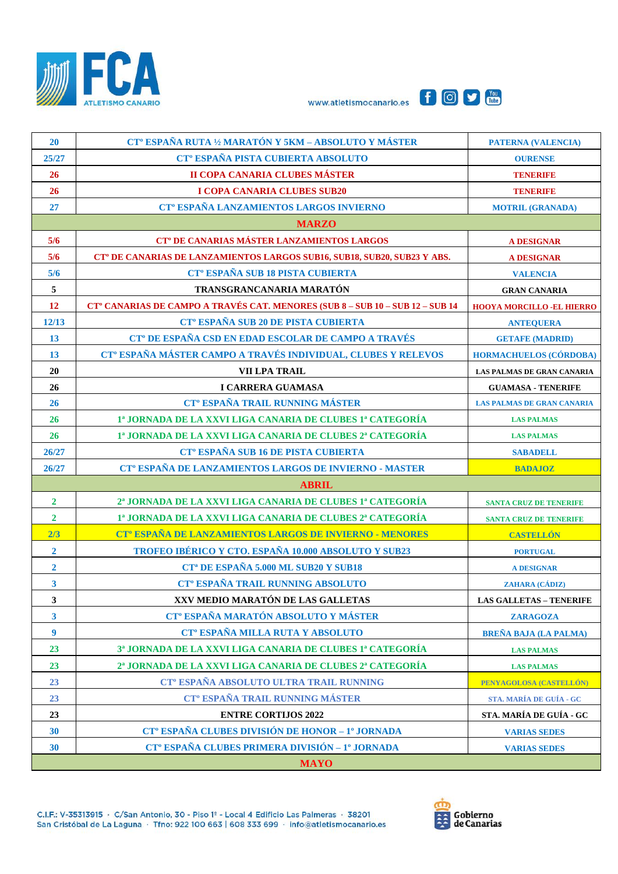





| 20                      | CT <sup>°</sup> ESPAÑA RUTA 1/2 MARATÓN Y 5KM - ABSOLUTO Y MÁSTER                    | <b>PATERNA (VALENCIA)</b>         |  |
|-------------------------|--------------------------------------------------------------------------------------|-----------------------------------|--|
| 25/27                   | CT <sup>°</sup> ESPAÑA PISTA CUBIERTA ABSOLUTO                                       | <b>OURENSE</b>                    |  |
| 26                      | II COPA CANARIA CLUBES MÁSTER                                                        | <b>TENERIFE</b>                   |  |
| 26                      | <b>I COPA CANARIA CLUBES SUB20</b>                                                   | <b>TENERIFE</b>                   |  |
| 27                      | CT <sup>°</sup> ESPAÑA LANZAMIENTOS LARGOS INVIERNO                                  | <b>MOTRIL (GRANADA)</b>           |  |
|                         | <b>MARZO</b>                                                                         |                                   |  |
| 5/6                     | CT <sup>°</sup> DE CANARIAS MÁSTER LANZAMIENTOS LARGOS                               | <b>A DESIGNAR</b>                 |  |
| 5/6                     | CT <sup>°</sup> DE CANARIAS DE LANZAMIENTOS LARGOS SUB16, SUB18, SUB20, SUB23 Y ABS. | <b>A DESIGNAR</b>                 |  |
| 5/6                     | CT <sup>°</sup> ESPAÑA SUB 18 PISTA CUBIERTA                                         | <b>VALENCIA</b>                   |  |
| 5                       | TRANSGRANCANARIA MARATÓN                                                             | <b>GRAN CANARIA</b>               |  |
| 12                      | CT° CANARIAS DE CAMPO A TRAVÉS CAT. MENORES (SUB 8 - SUB 10 - SUB 12 - SUB 14        | <b>HOOYA MORCILLO -EL HIERRO</b>  |  |
| 12/13                   | CT <sup>°</sup> ESPAÑA SUB 20 DE PISTA CUBIERTA                                      | <b>ANTEQUERA</b>                  |  |
| 13                      | CT <sup>°</sup> DE ESPAÑA CSD EN EDAD ESCOLAR DE CAMPO A TRAVÉS                      | <b>GETAFE (MADRID)</b>            |  |
| 13                      | CT <sup>°</sup> ESPAÑA MÁSTER CAMPO A TRAVÉS INDIVIDUAL, CLUBES Y RELEVOS            | <b>HORMACHUELOS (CÓRDOBA)</b>     |  |
| 20                      | VII LPA TRAIL                                                                        | <b>LAS PALMAS DE GRAN CANARIA</b> |  |
| 26                      | <b>I CARRERA GUAMASA</b>                                                             | <b>GUAMASA - TENERIFE</b>         |  |
| 26                      | <b>CT<sup>°</sup> ESPAÑA TRAIL RUNNING MÁSTER</b>                                    | <b>LAS PALMAS DE GRAN CANARIA</b> |  |
| 26                      | 1ª JORNADA DE LA XXVI LIGA CANARIA DE CLUBES 1ª CATEGORÍA                            | <b>LAS PALMAS</b>                 |  |
| 26                      | 1ª JORNADA DE LA XXVI LIGA CANARIA DE CLUBES 2ª CATEGORÍA                            | <b>LAS PALMAS</b>                 |  |
| 26/27                   | CT <sup>°</sup> ESPAÑA SUB 16 DE PISTA CUBIERTA                                      | <b>SABADELL</b>                   |  |
| 26/27                   | CT <sup>°</sup> ESPAÑA DE LANZAMIENTOS LARGOS DE INVIERNO - MASTER                   | <b>BADAJOZ</b>                    |  |
|                         | <b>ABRIL</b>                                                                         |                                   |  |
| $\mathbf{2}$            | 2ª JORNADA DE LA XXVI LIGA CANARIA DE CLUBES 1ª CATEGORÍA                            | <b>SANTA CRUZ DE TENERIFE</b>     |  |
| $\mathbf{2}$            | 1ª JORNADA DE LA XXVI LIGA CANARIA DE CLUBES 2ª CATEGORÍA                            | SANTA CRUZ DE TENERIFE            |  |
| 2/3                     | CT <sup>°</sup> ESPAÑA DE LANZAMIENTOS LARGOS DE INVIERNO - MENORES                  | <b>CASTELLÓN</b>                  |  |
| $\mathbf{2}$            | TROFEO IBÉRICO Y CTO. ESPAÑA 10.000 ABSOLUTO Y SUB23                                 | <b>PORTUGAL</b>                   |  |
| $\overline{2}$          | <b>CT<sup>a</sup> DE ESPAÑA 5.000 ML SUB20 Y SUB18</b>                               | <b>A DESIGNAR</b>                 |  |
| $\overline{\mathbf{3}}$ | CT <sup>°</sup> ESPAÑA TRAIL RUNNING ABSOLUTO                                        | <b>ZAHARA (CÁDIZ)</b>             |  |
| $\mathbf{3}$            | XXV MEDIO MARATÓN DE LAS GALLETAS                                                    | <b>LAS GALLETAS - TENERIFE</b>    |  |
| $\mathbf{3}$            | CT <sup>°</sup> ESPAÑA MARATÓN ABSOLUTO Y MÁSTER                                     | <b>ZARAGOZA</b>                   |  |
| $\boldsymbol{9}$        | CT <sup>°</sup> ESPAÑA MILLA RUTA Y ABSOLUTO                                         | <b>BREÑA BAJA (LA PALMA)</b>      |  |
| 23                      | 3ª JORNADA DE LA XXVI LIGA CANARIA DE CLUBES 1ª CATEGORÍA                            | <b>LAS PALMAS</b>                 |  |
| 23                      | 2ª JORNADA DE LA XXVI LIGA CANARIA DE CLUBES 2ª CATEGORÍA                            | <b>LAS PALMAS</b>                 |  |
| 23                      | CT <sup>°</sup> ESPAÑA ABSOLUTO ULTRA TRAIL RUNNING                                  | PENYAGOLOSA (CASTELLÓN)           |  |
| 23                      | CT <sup>°</sup> ESPAÑA TRAIL RUNNING MÁSTER                                          | STA. MARÍA DE GUÍA - GC           |  |
| 23                      | <b>ENTRE CORTIJOS 2022</b>                                                           | STA. MARÍA DE GUÍA - GC           |  |
| 30                      | CT <sup>°</sup> ESPAÑA CLUBES DIVISIÓN DE HONOR - 1º JORNADA                         | <b>VARIAS SEDES</b>               |  |
| 30                      | CT <sup>°</sup> ESPAÑA CLUBES PRIMERA DIVISIÓN - 1º JORNADA                          | <b>VARIAS SEDES</b>               |  |
| <b>MAYO</b>             |                                                                                      |                                   |  |

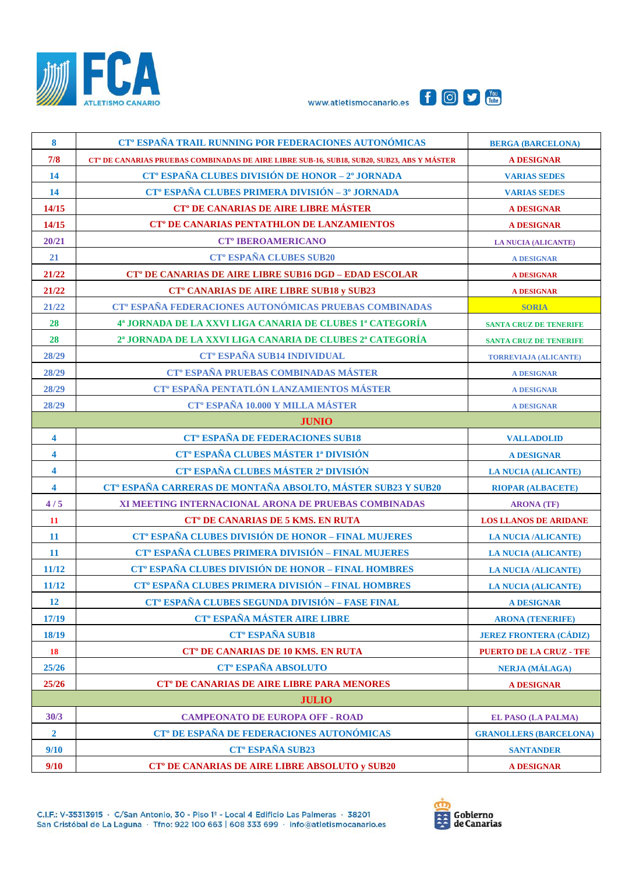





| $\boldsymbol{8}$        | CT <sup>°</sup> ESPAÑA TRAIL RUNNING POR FEDERACIONES AUTONÓMICAS                          | <b>BERGA (BARCELONA)</b>       |  |
|-------------------------|--------------------------------------------------------------------------------------------|--------------------------------|--|
| 7/8                     | CT° DE CANARIAS PRUEBAS COMBINADAS DE AIRE LIBRE SUB-16, SUB18, SUB20, SUB23, ABS Y MÁSTER | <b>A DESIGNAR</b>              |  |
| 14                      | CT <sup>°</sup> ESPAÑA CLUBES DIVISIÓN DE HONOR - 2° JORNADA                               | <b>VARIAS SEDES</b>            |  |
| 14                      | CT <sup>°</sup> ESPAÑA CLUBES PRIMERA DIVISIÓN - 3 <sup>°</sup> JORNADA                    | <b>VARIAS SEDES</b>            |  |
| 14/15                   | CT <sup>°</sup> DE CANARIAS DE AIRE LIBRE MÁSTER                                           | <b>A DESIGNAR</b>              |  |
| 14/15                   | <b>CT<sup>°</sup> DE CANARIAS PENTATHLON DE LANZAMIENTOS</b>                               | <b>A DESIGNAR</b>              |  |
| 20/21                   | <b>CT<sup>°</sup> IBEROAMERICANO</b>                                                       | <b>LA NUCIA (ALICANTE)</b>     |  |
| 21                      | <b>CT<sup>°</sup> ESPAÑA CLUBES SUB20</b>                                                  | <b>A DESIGNAR</b>              |  |
| 21/22                   | <b>CT<sup>°</sup> DE CANARIAS DE AIRE LIBRE SUB16 DGD - EDAD ESCOLAR</b>                   | <b>A DESIGNAR</b>              |  |
| 21/22                   | <b>CT° CANARIAS DE AIRE LIBRE SUB18 y SUB23</b>                                            | <b>A DESIGNAR</b>              |  |
| 21/22                   | CT <sup>°</sup> ESPAÑA FEDERACIONES AUTONÓMICAS PRUEBAS COMBINADAS                         | <b>SORIA</b>                   |  |
| 28                      | 4ª JORNADA DE LA XXVI LIGA CANARIA DE CLUBES 1ª CATEGORÍA                                  | <b>SANTA CRUZ DE TENERIFE</b>  |  |
| 28                      | 2ª JORNADA DE LA XXVI LIGA CANARIA DE CLUBES 2ª CATEGORÍA                                  | <b>SANTA CRUZ DE TENERIFE</b>  |  |
| 28/29                   | CT <sup>°</sup> ESPAÑA SUB14 INDIVIDUAL                                                    | <b>TORREVIAJA (ALICANTE)</b>   |  |
| 28/29                   | CT <sup>°</sup> ESPAÑA PRUEBAS COMBINADAS MÁSTER                                           | <b>A DESIGNAR</b>              |  |
| 28/29                   | CT <sup>°</sup> ESPAÑA PENTATLÓN LANZAMIENTOS MÁSTER                                       | <b>A DESIGNAR</b>              |  |
| 28/29                   | <b>CT<sup>°</sup> ESPAÑA 10.000 Y MILLA MÁSTER</b>                                         | <b>A DESIGNAR</b>              |  |
|                         | <b>JUNIO</b>                                                                               |                                |  |
| $\overline{\mathbf{4}}$ | <b>CT<sup>°</sup> ESPAÑA DE FEDERACIONES SUB18</b>                                         | <b>VALLADOLID</b>              |  |
| 4                       | CT <sup>°</sup> ESPAÑA CLUBES MÁSTER 1ª DIVISIÓN                                           | <b>A DESIGNAR</b>              |  |
| 4                       | CT <sup>°</sup> ESPAÑA CLUBES MÁSTER 2ª DIVISIÓN                                           | <b>LA NUCIA (ALICANTE)</b>     |  |
| $\overline{\mathbf{4}}$ | CT <sup>°</sup> ESPAÑA CARRERAS DE MONTAÑA ABSOLTO, MÁSTER SUB23 Y SUB20                   | <b>RIOPAR (ALBACETE)</b>       |  |
| 4/5                     | XI MEETING INTERNACIONAL ARONA DE PRUEBAS COMBINADAS                                       | <b>ARONA</b> (TF)              |  |
| 11                      | <b>CT<sup>°</sup> DE CANARIAS DE 5 KMS. EN RUTA</b>                                        | <b>LOS LLANOS DE ARIDANE</b>   |  |
| <b>11</b>               | CT <sup>°</sup> ESPAÑA CLUBES DIVISIÓN DE HONOR - FINAL MUJERES                            | <b>LA NUCIA /ALICANTE)</b>     |  |
| <b>11</b>               | CT <sup>°</sup> ESPAÑA CLUBES PRIMERA DIVISIÓN - FINAL MUJERES                             | <b>LA NUCIA (ALICANTE)</b>     |  |
| 11/12                   | CT <sup>°</sup> ESPAÑA CLUBES DIVISIÓN DE HONOR - FINAL HOMBRES                            | <b>LA NUCIA /ALICANTE)</b>     |  |
| 11/12                   | CT <sup>°</sup> ESPAÑA CLUBES PRIMERA DIVISIÓN - FINAL HOMBRES                             | <b>LA NUCIA (ALICANTE)</b>     |  |
| 12                      | CT <sup>°</sup> ESPAÑA CLUBES SEGUNDA DIVISIÓN - FASE FINAL                                | A DESIGNAR                     |  |
| 17/19                   | <b>CT<sup>°</sup> ESPAÑA MÁSTER AIRE LIBRE</b>                                             | <b>ARONA (TENERIFE)</b>        |  |
| 18/19                   | <b>CT<sup>°</sup> ESPAÑA SUB18</b>                                                         | <b>JEREZ FRONTERA (CÁDIZ)</b>  |  |
| <b>18</b>               | <b>CT<sup>°</sup> DE CANARIAS DE 10 KMS. EN RUTA</b>                                       | <b>PUERTO DE LA CRUZ - TFE</b> |  |
| 25/26                   | <b>CT<sup>°</sup> ESPAÑA ABSOLUTO</b>                                                      | <b>NERJA (MÁLAGA)</b>          |  |
| 25/26                   | <b>CT<sup>°</sup> DE CANARIAS DE AIRE LIBRE PARA MENORES</b>                               | <b>A DESIGNAR</b>              |  |
| <b>JULIO</b>            |                                                                                            |                                |  |
| 30/3                    | <b>CAMPEONATO DE EUROPA OFF - ROAD</b>                                                     | <b>EL PASO (LA PALMA)</b>      |  |
| $\overline{2}$          | CT <sup>°</sup> DE ESPAÑA DE FEDERACIONES AUTONÓMICAS                                      | <b>GRANOLLERS (BARCELONA)</b>  |  |
| 9/10                    | CT <sup>o</sup> ESPAÑA SUB23                                                               | <b>SANTANDER</b>               |  |
| 9/10                    | <b>CT<sup>°</sup> DE CANARIAS DE AIRE LIBRE ABSOLUTO y SUB20</b>                           | <b>A DESIGNAR</b>              |  |